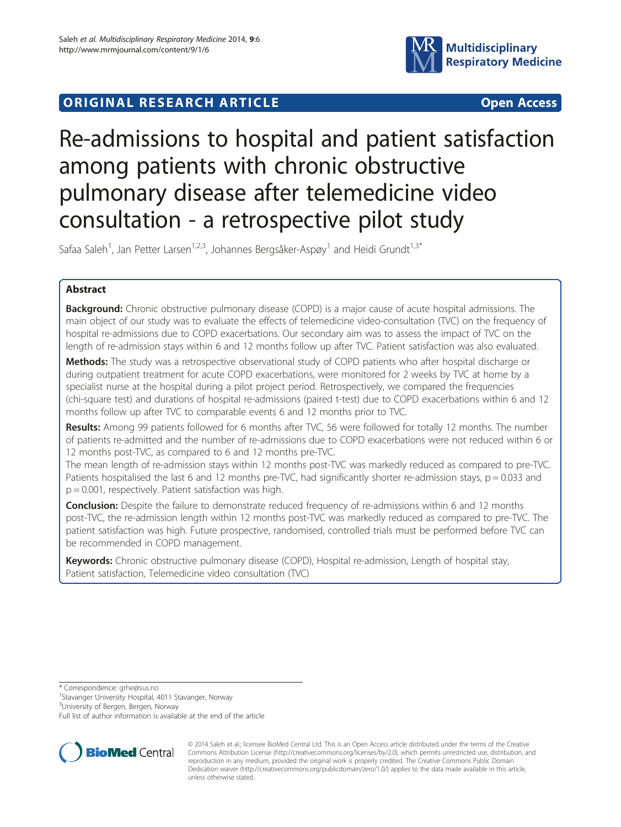



# Re-admissions to hospital and patient satisfaction among patients with chronic obstructive pulmonary disease after telemedicine video consultation - a retrospective pilot study

Safaa Saleh<sup>1</sup>, Jan Petter Larsen<sup>1,2,3</sup>, Johannes Bergsåker-Aspøy<sup>1</sup> and Heidi Grundt<sup>1,3\*</sup>

## Abstract

**Background:** Chronic obstructive pulmonary disease (COPD) is a major cause of acute hospital admissions. The main object of our study was to evaluate the effects of telemedicine video-consultation (TVC) on the frequency of hospital re-admissions due to COPD exacerbations. Our secondary aim was to assess the impact of TVC on the length of re-admission stays within 6 and 12 months follow up after TVC. Patient satisfaction was also evaluated.

Methods: The study was a retrospective observational study of COPD patients who after hospital discharge or during outpatient treatment for acute COPD exacerbations, were monitored for 2 weeks by TVC at home by a specialist nurse at the hospital during a pilot project period. Retrospectively, we compared the frequencies (chi-square test) and durations of hospital re-admissions (paired t-test) due to COPD exacerbations within 6 and 12 months follow up after TVC to comparable events 6 and 12 months prior to TVC.

Results: Among 99 patients followed for 6 months after TVC, 56 were followed for totally 12 months. The number of patients re-admitted and the number of re-admissions due to COPD exacerbations were not reduced within 6 or 12 months post-TVC, as compared to 6 and 12 months pre-TVC.

The mean length of re-admission stays within 12 months post-TVC was markedly reduced as compared to pre-TVC. Patients hospitalised the last 6 and 12 months pre-TVC, had significantly shorter re-admission stays, p = 0.033 and  $p = 0.001$ , respectively. Patient satisfaction was high.

**Conclusion:** Despite the failure to demonstrate reduced frequency of re-admissions within 6 and 12 months post-TVC, the re-admission length within 12 months post-TVC was markedly reduced as compared to pre-TVC. The patient satisfaction was high. Future prospective, randomised, controlled trials must be performed before TVC can be recommended in COPD management.

Keywords: Chronic obstructive pulmonary disease (COPD), Hospital re-admission, Length of hospital stay, Patient satisfaction, Telemedicine video consultation (TVC)

\* Correspondence: [grhe@sus.no](mailto:grhe@sus.no) <sup>1</sup>

<sup>3</sup>University of Bergen, Bergen, Norway

Full list of author information is available at the end of the article



© 2014 Saleh et al.; licensee BioMed Central Ltd. This is an Open Access article distributed under the terms of the Creative Commons Attribution License [\(http://creativecommons.org/licenses/by/2.0\)](http://creativecommons.org/licenses/by/2.0), which permits unrestricted use, distribution, and reproduction in any medium, provided the original work is properly credited. The Creative Commons Public Domain Dedication waiver [\(http://creativecommons.org/publicdomain/zero/1.0/](http://creativecommons.org/publicdomain/zero/1.0/)) applies to the data made available in this article, unless otherwise stated.

<sup>&</sup>lt;sup>1</sup> Stavanger University Hospital, 4011 Stavanger, Norway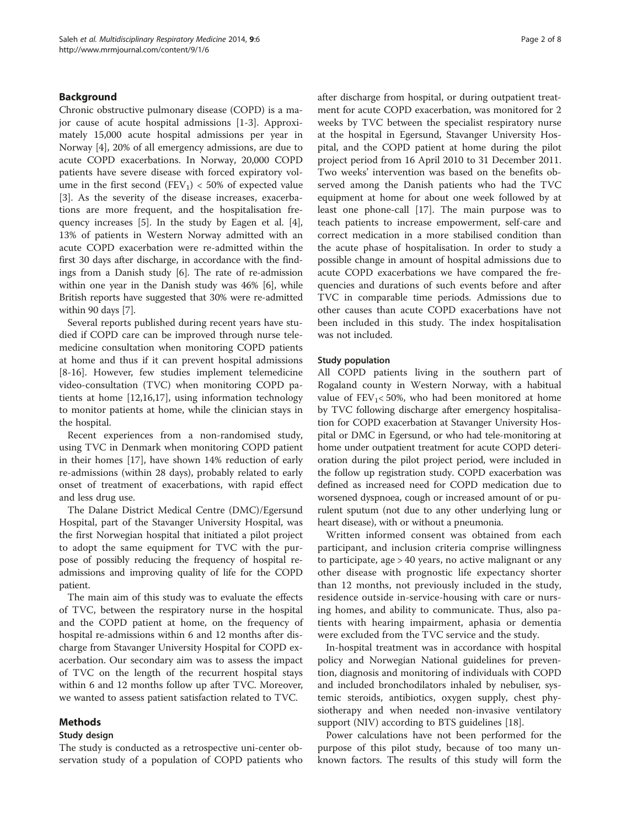## Background

Chronic obstructive pulmonary disease (COPD) is a major cause of acute hospital admissions [[1-](#page-6-0)[3](#page-7-0)]. Approximately 15,000 acute hospital admissions per year in Norway [[4\]](#page-7-0), 20% of all emergency admissions, are due to acute COPD exacerbations. In Norway, 20,000 COPD patients have severe disease with forced expiratory volume in the first second  $(FEV_1)$  < 50% of expected value [[3\]](#page-7-0). As the severity of the disease increases, exacerbations are more frequent, and the hospitalisation frequency increases [\[5](#page-7-0)]. In the study by Eagen et al. [\[4](#page-7-0)], 13% of patients in Western Norway admitted with an acute COPD exacerbation were re-admitted within the first 30 days after discharge, in accordance with the findings from a Danish study [[6\]](#page-7-0). The rate of re-admission within one year in the Danish study was 46% [\[6\]](#page-7-0), while British reports have suggested that 30% were re-admitted within 90 days [\[7](#page-7-0)].

Several reports published during recent years have studied if COPD care can be improved through nurse telemedicine consultation when monitoring COPD patients at home and thus if it can prevent hospital admissions [[8-16](#page-7-0)]. However, few studies implement telemedicine video-consultation (TVC) when monitoring COPD patients at home [[12,16,17\]](#page-7-0), using information technology to monitor patients at home, while the clinician stays in the hospital.

Recent experiences from a non-randomised study, using TVC in Denmark when monitoring COPD patient in their homes [[17\]](#page-7-0), have shown 14% reduction of early re-admissions (within 28 days), probably related to early onset of treatment of exacerbations, with rapid effect and less drug use.

The Dalane District Medical Centre (DMC)/Egersund Hospital, part of the Stavanger University Hospital, was the first Norwegian hospital that initiated a pilot project to adopt the same equipment for TVC with the purpose of possibly reducing the frequency of hospital readmissions and improving quality of life for the COPD patient.

The main aim of this study was to evaluate the effects of TVC, between the respiratory nurse in the hospital and the COPD patient at home, on the frequency of hospital re-admissions within 6 and 12 months after discharge from Stavanger University Hospital for COPD exacerbation. Our secondary aim was to assess the impact of TVC on the length of the recurrent hospital stays within 6 and 12 months follow up after TVC. Moreover, we wanted to assess patient satisfaction related to TVC.

## Methods

#### Study design

The study is conducted as a retrospective uni-center observation study of a population of COPD patients who

after discharge from hospital, or during outpatient treatment for acute COPD exacerbation, was monitored for 2 weeks by TVC between the specialist respiratory nurse at the hospital in Egersund, Stavanger University Hospital, and the COPD patient at home during the pilot project period from 16 April 2010 to 31 December 2011. Two weeks' intervention was based on the benefits observed among the Danish patients who had the TVC equipment at home for about one week followed by at least one phone-call [[17](#page-7-0)]. The main purpose was to teach patients to increase empowerment, self-care and correct medication in a more stabilised condition than the acute phase of hospitalisation. In order to study a possible change in amount of hospital admissions due to acute COPD exacerbations we have compared the frequencies and durations of such events before and after TVC in comparable time periods. Admissions due to other causes than acute COPD exacerbations have not been included in this study. The index hospitalisation was not included.

#### Study population

All COPD patients living in the southern part of Rogaland county in Western Norway, with a habitual value of  $FEV_1$ < 50%, who had been monitored at home by TVC following discharge after emergency hospitalisation for COPD exacerbation at Stavanger University Hospital or DMC in Egersund, or who had tele-monitoring at home under outpatient treatment for acute COPD deterioration during the pilot project period, were included in the follow up registration study. COPD exacerbation was defined as increased need for COPD medication due to worsened dyspnoea, cough or increased amount of or purulent sputum (not due to any other underlying lung or heart disease), with or without a pneumonia.

Written informed consent was obtained from each participant, and inclusion criteria comprise willingness to participate, age > 40 years, no active malignant or any other disease with prognostic life expectancy shorter than 12 months, not previously included in the study, residence outside in-service-housing with care or nursing homes, and ability to communicate. Thus, also patients with hearing impairment, aphasia or dementia were excluded from the TVC service and the study.

In-hospital treatment was in accordance with hospital policy and Norwegian National guidelines for prevention, diagnosis and monitoring of individuals with COPD and included bronchodilators inhaled by nebuliser, systemic steroids, antibiotics, oxygen supply, chest physiotherapy and when needed non-invasive ventilatory support (NIV) according to BTS guidelines [[18](#page-7-0)].

Power calculations have not been performed for the purpose of this pilot study, because of too many unknown factors. The results of this study will form the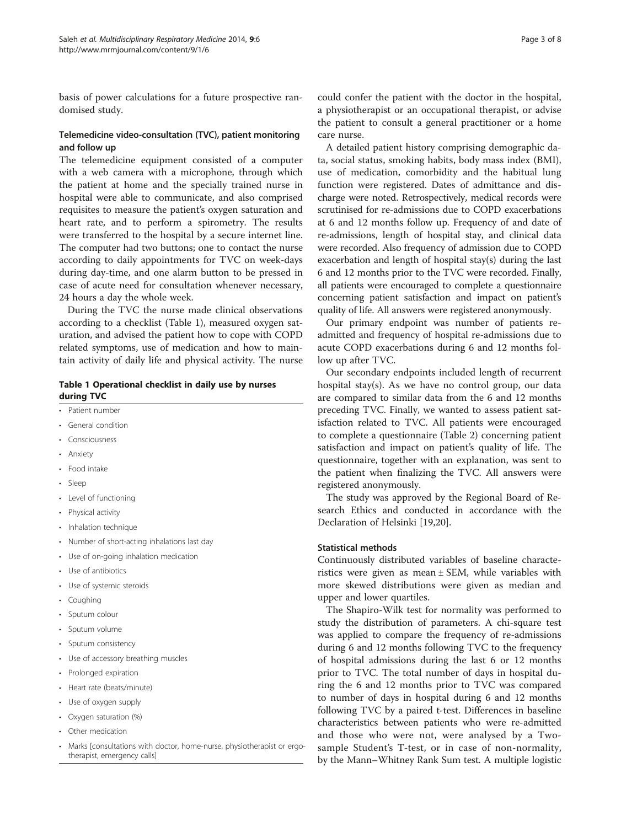basis of power calculations for a future prospective randomised study.

## Telemedicine video-consultation (TVC), patient monitoring and follow up

The telemedicine equipment consisted of a computer with a web camera with a microphone, through which the patient at home and the specially trained nurse in hospital were able to communicate, and also comprised requisites to measure the patient's oxygen saturation and heart rate, and to perform a spirometry. The results were transferred to the hospital by a secure internet line. The computer had two buttons; one to contact the nurse according to daily appointments for TVC on week-days during day-time, and one alarm button to be pressed in case of acute need for consultation whenever necessary, 24 hours a day the whole week.

During the TVC the nurse made clinical observations according to a checklist (Table 1), measured oxygen saturation, and advised the patient how to cope with COPD related symptoms, use of medication and how to maintain activity of daily life and physical activity. The nurse

|            | Table 1 Operational checklist in daily use by nurses |  |  |  |
|------------|------------------------------------------------------|--|--|--|
| during TVC |                                                      |  |  |  |

- Patient number
- General condition
- Consciousness
- Anxiety
- Food intake
- Sleep
- Level of functioning
- Physical activity
- Inhalation technique
- Number of short-acting inhalations last day
- Use of on-going inhalation medication
- Use of antibiotics
- Use of systemic steroids
- Coughing
- Sputum colour
- Sputum volume
- Sputum consistency
- Use of accessory breathing muscles
- Prolonged expiration
- Heart rate (beats/minute)
- Use of oxygen supply
- Oxygen saturation (%)
- Other medication
- Marks [consultations with doctor, home-nurse, physiotherapist or ergotherapist, emergency calls]

could confer the patient with the doctor in the hospital, a physiotherapist or an occupational therapist, or advise the patient to consult a general practitioner or a home care nurse.

A detailed patient history comprising demographic data, social status, smoking habits, body mass index (BMI), use of medication, comorbidity and the habitual lung function were registered. Dates of admittance and discharge were noted. Retrospectively, medical records were scrutinised for re-admissions due to COPD exacerbations at 6 and 12 months follow up. Frequency of and date of re-admissions, length of hospital stay, and clinical data were recorded. Also frequency of admission due to COPD exacerbation and length of hospital stay(s) during the last 6 and 12 months prior to the TVC were recorded. Finally, all patients were encouraged to complete a questionnaire concerning patient satisfaction and impact on patient's quality of life. All answers were registered anonymously.

Our primary endpoint was number of patients readmitted and frequency of hospital re-admissions due to acute COPD exacerbations during 6 and 12 months follow up after TVC.

Our secondary endpoints included length of recurrent hospital stay(s). As we have no control group, our data are compared to similar data from the 6 and 12 months preceding TVC. Finally, we wanted to assess patient satisfaction related to TVC. All patients were encouraged to complete a questionnaire (Table [2\)](#page-3-0) concerning patient satisfaction and impact on patient's quality of life. The questionnaire, together with an explanation, was sent to the patient when finalizing the TVC. All answers were registered anonymously.

The study was approved by the Regional Board of Research Ethics and conducted in accordance with the Declaration of Helsinki [[19,20\]](#page-7-0).

### Statistical methods

Continuously distributed variables of baseline characteristics were given as mean ± SEM, while variables with more skewed distributions were given as median and upper and lower quartiles.

The Shapiro-Wilk test for normality was performed to study the distribution of parameters. A chi-square test was applied to compare the frequency of re-admissions during 6 and 12 months following TVC to the frequency of hospital admissions during the last 6 or 12 months prior to TVC. The total number of days in hospital during the 6 and 12 months prior to TVC was compared to number of days in hospital during 6 and 12 months following TVC by a paired t-test. Differences in baseline characteristics between patients who were re-admitted and those who were not, were analysed by a Twosample Student's T-test, or in case of non-normality, by the Mann–Whitney Rank Sum test. A multiple logistic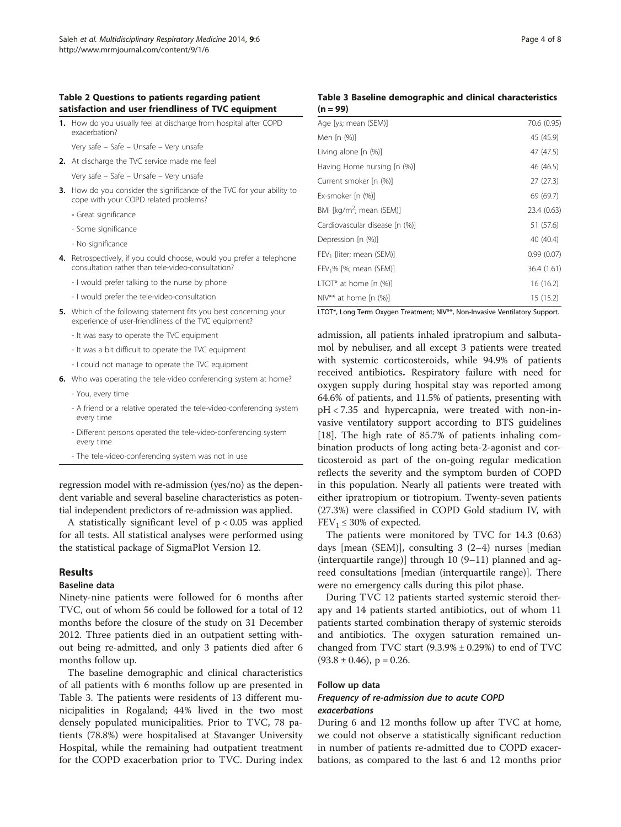#### <span id="page-3-0"></span>Table 2 Questions to patients regarding patient satisfaction and user friendliness of TVC equipment

1. How do you usually feel at discharge from hospital after COPD exacerbation?

Very safe – Safe – Unsafe – Very unsafe

2. At discharge the TVC service made me feel

Very safe – Safe – Unsafe – Very unsafe

- 3. How do you consider the significance of the TVC for your ability to cope with your COPD related problems?
	- Great significance
	- Some significance
	- No significance
- 4. Retrospectively, if you could choose, would you prefer a telephone consultation rather than tele-video-consultation?
	- I would prefer talking to the nurse by phone
	- I would prefer the tele-video-consultation
- 5. Which of the following statement fits you best concerning your experience of user-friendliness of the TVC equipment?
	- It was easy to operate the TVC equipment
	- It was a bit difficult to operate the TVC equipment
	- I could not manage to operate the TVC equipment
- 6. Who was operating the tele-video conferencing system at home?
	- You, every time
	- A friend or a relative operated the tele-video-conferencing system every time
	- Different persons operated the tele-video-conferencing system every time
	- The tele-video-conferencing system was not in use

regression model with re-admission (yes/no) as the dependent variable and several baseline characteristics as potential independent predictors of re-admission was applied.

A statistically significant level of  $p < 0.05$  was applied for all tests. All statistical analyses were performed using the statistical package of SigmaPlot Version 12.

### Results

### Baseline data

Ninety-nine patients were followed for 6 months after TVC, out of whom 56 could be followed for a total of 12 months before the closure of the study on 31 December 2012. Three patients died in an outpatient setting without being re-admitted, and only 3 patients died after 6 months follow up.

The baseline demographic and clinical characteristics of all patients with 6 months follow up are presented in Table 3. The patients were residents of 13 different municipalities in Rogaland; 44% lived in the two most densely populated municipalities. Prior to TVC, 78 patients (78.8%) were hospitalised at Stavanger University Hospital, while the remaining had outpatient treatment for the COPD exacerbation prior to TVC. During index

## Table 3 Baseline demographic and clinical characteristics  $(n = 99)$

| Age [ys; mean (SEM)]                 | 70.6 (0.95) |
|--------------------------------------|-------------|
| Men $[n (%)]$                        | 45 (45.9)   |
| Living alone [n (%)]                 | 47 (47.5)   |
| Having Home nursing [n (%)]          | 46 (46.5)   |
| Current smoker [n (%)]               | 27 (27.3)   |
| Ex-smoker $[n (%)]$                  | 69 (69.7)   |
| BMI [kg/m <sup>2</sup> ; mean (SEM)] | 23.4 (0.63) |
| Cardiovascular disease [n (%)]       | 51 (57.6)   |
| Depression [n (%)]                   | 40 (40.4)   |
| FEV <sub>1</sub> [liter; mean (SEM)] | 0.99(0.07)  |
| $FEV1%$ [%; mean (SEM)]              | 36.4 (1.61) |
| LTOT* at home $[n (%)]$              | 16(16.2)    |
| $NIV***$ at home $[n (%)]$           | 15 (15.2)   |

LTOT\*, Long Term Oxygen Treatment; NIV\*\*, Non-Invasive Ventilatory Support.

admission, all patients inhaled ipratropium and salbutamol by nebuliser, and all except 3 patients were treated with systemic corticosteroids, while 94.9% of patients received antibiotics. Respiratory failure with need for oxygen supply during hospital stay was reported among 64.6% of patients, and 11.5% of patients, presenting with pH < 7.35 and hypercapnia, were treated with non-invasive ventilatory support according to BTS guidelines [[18\]](#page-7-0). The high rate of 85.7% of patients inhaling combination products of long acting beta-2-agonist and corticosteroid as part of the on-going regular medication reflects the severity and the symptom burden of COPD in this population. Nearly all patients were treated with either ipratropium or tiotropium. Twenty-seven patients (27.3%) were classified in COPD Gold stadium IV, with  $FEV_1 \leq 30\%$  of expected.

The patients were monitored by TVC for 14.3 (0.63) days [mean (SEM)], consulting 3 (2–4) nurses [median (interquartile range)] through 10 (9–11) planned and agreed consultations [median (interquartile range)]. There were no emergency calls during this pilot phase.

During TVC 12 patients started systemic steroid therapy and 14 patients started antibiotics, out of whom 11 patients started combination therapy of systemic steroids and antibiotics. The oxygen saturation remained unchanged from TVC start  $(9.3.9% \pm 0.29%)$  to end of TVC  $(93.8 \pm 0.46)$ , p = 0.26.

#### Follow up data

## Frequency of re-admission due to acute COPD exacerbations

During 6 and 12 months follow up after TVC at home, we could not observe a statistically significant reduction in number of patients re-admitted due to COPD exacerbations, as compared to the last 6 and 12 months prior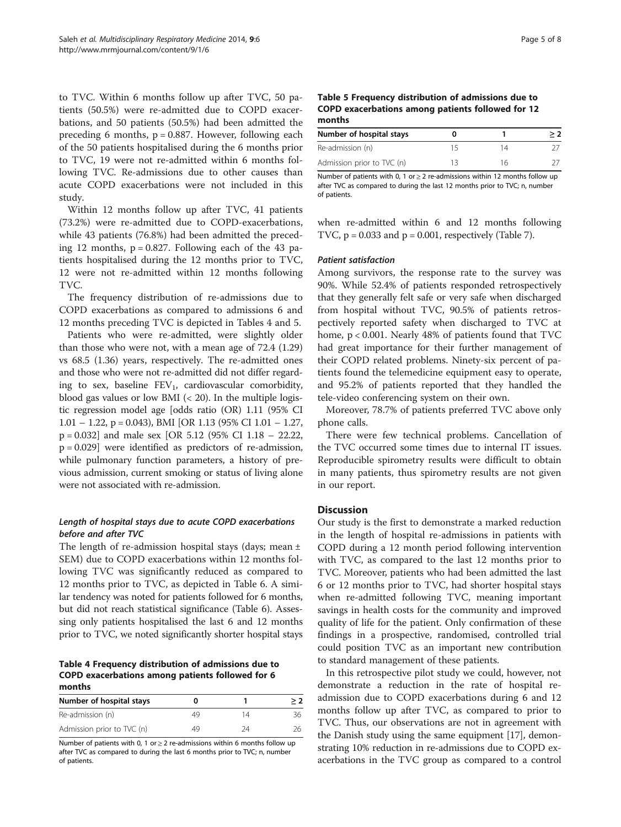to TVC. Within 6 months follow up after TVC, 50 patients (50.5%) were re-admitted due to COPD exacerbations, and 50 patients (50.5%) had been admitted the preceding 6 months,  $p = 0.887$ . However, following each of the 50 patients hospitalised during the 6 months prior to TVC, 19 were not re-admitted within 6 months following TVC. Re-admissions due to other causes than acute COPD exacerbations were not included in this study.

Within 12 months follow up after TVC, 41 patients (73.2%) were re-admitted due to COPD-exacerbations, while 43 patients (76.8%) had been admitted the preceding 12 months,  $p = 0.827$ . Following each of the 43 patients hospitalised during the 12 months prior to TVC, 12 were not re-admitted within 12 months following TVC.

The frequency distribution of re-admissions due to COPD exacerbations as compared to admissions 6 and 12 months preceding TVC is depicted in Tables 4 and 5.

Patients who were re-admitted, were slightly older than those who were not, with a mean age of 72.4 (1.29) vs 68.5 (1.36) years, respectively. The re-admitted ones and those who were not re-admitted did not differ regarding to sex, baseline  $FEV_1$ , cardiovascular comorbidity, blood gas values or low BMI (< 20). In the multiple logistic regression model age [odds ratio (OR) 1.11 (95% CI 1.01 – 1.22, p = 0.043), BMI [OR 1.13 (95% CI 1.01 – 1.27, p = 0.032] and male sex [OR 5.12 (95% CI 1.18 – 22.22, p = 0.029] were identified as predictors of re-admission, while pulmonary function parameters, a history of previous admission, current smoking or status of living alone were not associated with re-admission.

## Length of hospital stays due to acute COPD exacerbations before and after TVC

The length of re-admission hospital stays (days; mean  $\pm$ SEM) due to COPD exacerbations within 12 months following TVC was significantly reduced as compared to 12 months prior to TVC, as depicted in Table [6](#page-5-0). A similar tendency was noted for patients followed for 6 months, but did not reach statistical significance (Table [6\)](#page-5-0). Assessing only patients hospitalised the last 6 and 12 months prior to TVC, we noted significantly shorter hospital stays

## Table 4 Frequency distribution of admissions due to COPD exacerbations among patients followed for 6 months

| Number of hospital stays   |    |    | > 2 |
|----------------------------|----|----|-----|
| Re-admission (n)           | 49 | 14 | 36. |
| Admission prior to TVC (n) | 49 | 7Δ |     |

Number of patients with 0, 1 or  $\geq$  2 re-admissions within 6 months follow up after TVC as compared to during the last 6 months prior to TVC; n, number of patients.

Table 5 Frequency distribution of admissions due to COPD exacerbations among patients followed for 12 months

| Number of hospital stays   |    |  |
|----------------------------|----|--|
| Re-admission (n)           | 1Δ |  |
| Admission prior to TVC (n) | 16 |  |

Number of patients with 0, 1 or  $\geq$  2 re-admissions within 12 months follow up after TVC as compared to during the last 12 months prior to TVC; n, number of patients.

when re-admitted within 6 and 12 months following TVC,  $p = 0.033$  and  $p = 0.001$ , respectively (Table [7\)](#page-5-0).

### Patient satisfaction

Among survivors, the response rate to the survey was 90%. While 52.4% of patients responded retrospectively that they generally felt safe or very safe when discharged from hospital without TVC, 90.5% of patients retrospectively reported safety when discharged to TVC at home, p < 0.001. Nearly 48% of patients found that TVC had great importance for their further management of their COPD related problems. Ninety-six percent of patients found the telemedicine equipment easy to operate, and 95.2% of patients reported that they handled the tele-video conferencing system on their own.

Moreover, 78.7% of patients preferred TVC above only phone calls.

There were few technical problems. Cancellation of the TVC occurred some times due to internal IT issues. Reproducible spirometry results were difficult to obtain in many patients, thus spirometry results are not given in our report.

### **Discussion**

Our study is the first to demonstrate a marked reduction in the length of hospital re-admissions in patients with COPD during a 12 month period following intervention with TVC, as compared to the last 12 months prior to TVC. Moreover, patients who had been admitted the last 6 or 12 months prior to TVC, had shorter hospital stays when re-admitted following TVC, meaning important savings in health costs for the community and improved quality of life for the patient. Only confirmation of these findings in a prospective, randomised, controlled trial could position TVC as an important new contribution to standard management of these patients.

In this retrospective pilot study we could, however, not demonstrate a reduction in the rate of hospital readmission due to COPD exacerbations during 6 and 12 months follow up after TVC, as compared to prior to TVC. Thus, our observations are not in agreement with the Danish study using the same equipment [\[17\]](#page-7-0), demonstrating 10% reduction in re-admissions due to COPD exacerbations in the TVC group as compared to a control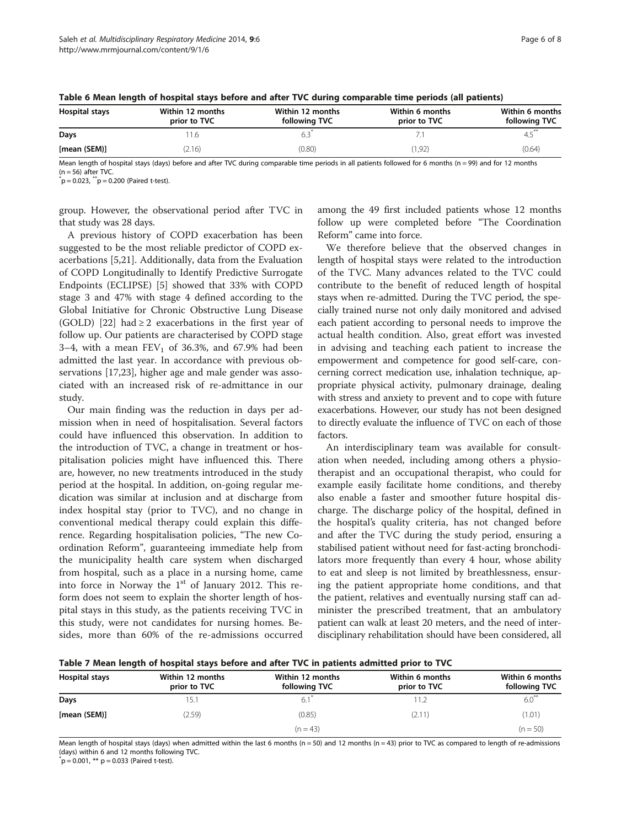| Hospital stays | Within 12 months<br>prior to TVC | Within 12 months<br>following TVC | Within 6 months<br>prior to TVC | Within 6 months<br>following TVC |
|----------------|----------------------------------|-----------------------------------|---------------------------------|----------------------------------|
| Days           | 1.6                              | 6.3                               |                                 | 4.5                              |
| [mean (SEM)]   | (2.16)                           | (0.80)                            | (1,92)                          | (0.64)                           |

<span id="page-5-0"></span>

| (albe 6 Mean length of hospital stays before and after TVC during comparable time periods (all patients |  |  |  |
|---------------------------------------------------------------------------------------------------------|--|--|--|
|---------------------------------------------------------------------------------------------------------|--|--|--|

Mean length of hospital stays (days) before and after TVC during comparable time periods in all patients followed for 6 months (n = 99) and for 12 months  $(n = 56)$  after TVC.

 $p^*$ p = 0.023,  $p^*$ p = 0.200 (Paired t-test).

group. However, the observational period after TVC in that study was 28 days.

A previous history of COPD exacerbation has been suggested to be the most reliable predictor of COPD exacerbations [\[5,21](#page-7-0)]. Additionally, data from the Evaluation of COPD Longitudinally to Identify Predictive Surrogate Endpoints (ECLIPSE) [\[5](#page-7-0)] showed that 33% with COPD stage 3 and 47% with stage 4 defined according to the Global Initiative for Chronic Obstructive Lung Disease (GOLD) [\[22](#page-7-0)] had  $\geq$  2 exacerbations in the first year of follow up. Our patients are characterised by COPD stage 3–4, with a mean  $FEV_1$  of 36.3%, and 67.9% had been admitted the last year. In accordance with previous observations [\[17,23\]](#page-7-0), higher age and male gender was associated with an increased risk of re-admittance in our study.

Our main finding was the reduction in days per admission when in need of hospitalisation. Several factors could have influenced this observation. In addition to the introduction of TVC, a change in treatment or hospitalisation policies might have influenced this. There are, however, no new treatments introduced in the study period at the hospital. In addition, on-going regular medication was similar at inclusion and at discharge from index hospital stay (prior to TVC), and no change in conventional medical therapy could explain this difference. Regarding hospitalisation policies, "The new Coordination Reform", guaranteeing immediate help from the municipality health care system when discharged from hospital, such as a place in a nursing home, came into force in Norway the  $1<sup>st</sup>$  of January 2012. This reform does not seem to explain the shorter length of hospital stays in this study, as the patients receiving TVC in this study, were not candidates for nursing homes. Besides, more than 60% of the re-admissions occurred among the 49 first included patients whose 12 months follow up were completed before "The Coordination Reform" came into force.

We therefore believe that the observed changes in length of hospital stays were related to the introduction of the TVC. Many advances related to the TVC could contribute to the benefit of reduced length of hospital stays when re-admitted. During the TVC period, the specially trained nurse not only daily monitored and advised each patient according to personal needs to improve the actual health condition. Also, great effort was invested in advising and teaching each patient to increase the empowerment and competence for good self-care, concerning correct medication use, inhalation technique, appropriate physical activity, pulmonary drainage, dealing with stress and anxiety to prevent and to cope with future exacerbations. However, our study has not been designed to directly evaluate the influence of TVC on each of those factors.

An interdisciplinary team was available for consultation when needed, including among others a physiotherapist and an occupational therapist, who could for example easily facilitate home conditions, and thereby also enable a faster and smoother future hospital discharge. The discharge policy of the hospital, defined in the hospital's quality criteria, has not changed before and after the TVC during the study period, ensuring a stabilised patient without need for fast-acting bronchodilators more frequently than every 4 hour, whose ability to eat and sleep is not limited by breathlessness, ensuring the patient appropriate home conditions, and that the patient, relatives and eventually nursing staff can administer the prescribed treatment, that an ambulatory patient can walk at least 20 meters, and the need of interdisciplinary rehabilitation should have been considered, all

|  |  |  |  | Table 7 Mean length of hospital stays before and after TVC in patients admitted prior to TVC |
|--|--|--|--|----------------------------------------------------------------------------------------------|
|--|--|--|--|----------------------------------------------------------------------------------------------|

| Hospital stays | Within 12 months<br>prior to TVC | Within 12 months<br>following TVC | Within 6 months<br>prior to TVC | Within 6 months<br>following TVC |
|----------------|----------------------------------|-----------------------------------|---------------------------------|----------------------------------|
| Days           | 15.1                             | 6.1                               | 11.2                            | $6.0^{**}$                       |
| [mean (SEM)]   | 2.59)                            | (0.85)                            | (2.11)                          | (1.01)                           |
|                |                                  | $(n = 43)$                        |                                 | $(n = 50)$                       |

Mean length of hospital stays (days) when admitted within the last 6 months (n = 50) and 12 months (n = 43) prior to TVC as compared to length of re-admissions (days) within 6 and 12 months following TVC.

 $p^*$ p = 0.001, \*\* p = 0.033 (Paired t-test).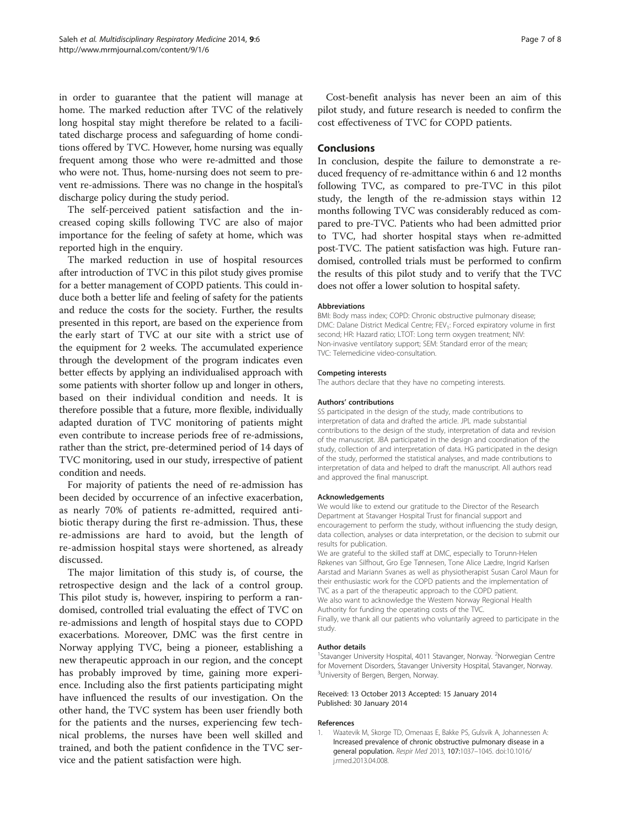<span id="page-6-0"></span>in order to guarantee that the patient will manage at home. The marked reduction after TVC of the relatively long hospital stay might therefore be related to a facilitated discharge process and safeguarding of home conditions offered by TVC. However, home nursing was equally frequent among those who were re-admitted and those who were not. Thus, home-nursing does not seem to prevent re-admissions. There was no change in the hospital's discharge policy during the study period.

The self-perceived patient satisfaction and the increased coping skills following TVC are also of major importance for the feeling of safety at home, which was reported high in the enquiry.

The marked reduction in use of hospital resources after introduction of TVC in this pilot study gives promise for a better management of COPD patients. This could induce both a better life and feeling of safety for the patients and reduce the costs for the society. Further, the results presented in this report, are based on the experience from the early start of TVC at our site with a strict use of the equipment for 2 weeks. The accumulated experience through the development of the program indicates even better effects by applying an individualised approach with some patients with shorter follow up and longer in others, based on their individual condition and needs. It is therefore possible that a future, more flexible, individually adapted duration of TVC monitoring of patients might even contribute to increase periods free of re-admissions, rather than the strict, pre-determined period of 14 days of TVC monitoring, used in our study, irrespective of patient condition and needs.

For majority of patients the need of re-admission has been decided by occurrence of an infective exacerbation, as nearly 70% of patients re-admitted, required antibiotic therapy during the first re-admission. Thus, these re-admissions are hard to avoid, but the length of re-admission hospital stays were shortened, as already discussed.

The major limitation of this study is, of course, the retrospective design and the lack of a control group. This pilot study is, however, inspiring to perform a randomised, controlled trial evaluating the effect of TVC on re-admissions and length of hospital stays due to COPD exacerbations. Moreover, DMC was the first centre in Norway applying TVC, being a pioneer, establishing a new therapeutic approach in our region, and the concept has probably improved by time, gaining more experience. Including also the first patients participating might have influenced the results of our investigation. On the other hand, the TVC system has been user friendly both for the patients and the nurses, experiencing few technical problems, the nurses have been well skilled and trained, and both the patient confidence in the TVC service and the patient satisfaction were high.

Cost-benefit analysis has never been an aim of this pilot study, and future research is needed to confirm the cost effectiveness of TVC for COPD patients.

## Conclusions

In conclusion, despite the failure to demonstrate a reduced frequency of re-admittance within 6 and 12 months following TVC, as compared to pre-TVC in this pilot study, the length of the re-admission stays within 12 months following TVC was considerably reduced as compared to pre-TVC. Patients who had been admitted prior to TVC, had shorter hospital stays when re-admitted post-TVC. The patient satisfaction was high. Future randomised, controlled trials must be performed to confirm the results of this pilot study and to verify that the TVC does not offer a lower solution to hospital safety.

#### Abbreviations

BMI: Body mass index; COPD: Chronic obstructive pulmonary disease; DMC: Dalane District Medical Centre; FEV<sub>1</sub>: Forced expiratory volume in first second; HR: Hazard ratio; LTOT: Long term oxygen treatment; NIV: Non-invasive ventilatory support; SEM: Standard error of the mean; TVC: Telemedicine video-consultation.

#### Competing interests

The authors declare that they have no competing interests.

#### Authors' contributions

SS participated in the design of the study, made contributions to interpretation of data and drafted the article. JPL made substantial contributions to the design of the study, interpretation of data and revision of the manuscript. JBA participated in the design and coordination of the study, collection of and interpretation of data. HG participated in the design of the study, performed the statistical analyses, and made contributions to interpretation of data and helped to draft the manuscript. All authors read and approved the final manuscript.

#### Acknowledgements

We would like to extend our gratitude to the Director of the Research Department at Stavanger Hospital Trust for financial support and encouragement to perform the study, without influencing the study design, data collection, analyses or data interpretation, or the decision to submit our results for publication.

We are grateful to the skilled staff at DMC, especially to Torunn-Helen Røkenes van Silfhout, Gro Ege Tønnesen, Tone Alice Lædre, Ingrid Karlsen Aarstad and Mariann Svanes as well as physiotherapist Susan Carol Maun for their enthusiastic work for the COPD patients and the implementation of TVC as a part of the therapeutic approach to the COPD patient. We also want to acknowledge the Western Norway Regional Health Authority for funding the operating costs of the TVC. Finally, we thank all our patients who voluntarily agreed to participate in the study.

#### Author details

<sup>1</sup>Stavanger University Hospital, 4011 Stavanger, Norway. <sup>2</sup>Norwegian Centre for Movement Disorders, Stavanger University Hospital, Stavanger, Norway. 3 University of Bergen, Bergen, Norway.

#### Received: 13 October 2013 Accepted: 15 January 2014 Published: 30 January 2014

#### References

1. Waatevik M, Skorge TD, Omenaas E, Bakke PS, Gulsvik A, Johannessen A: Increased prevalence of chronic obstructive pulmonary disease in a general population. Respir Med 2013, 107:1037–1045. doi:10.1016/ j.rmed.2013.04.008.